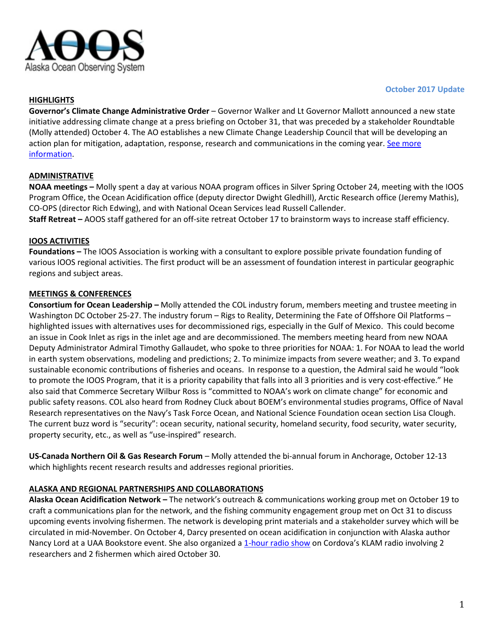

#### **October 2017 Update**

## **HIGHLIGHTS**

**Governor's Climate Change Administrative Order** – Governor Walker and Lt Governor Mallott announced a new state initiative addressing climate change at a press briefing on October 31, that was preceded by a stakeholder Roundtable (Molly attended) October 4. The AO establishes a new Climate Change Leadership Council that will be developing an action plan for mitigation, adaptation, response, research and communications in the coming year. See more [information.](https://gov.alaska.gov/newsroom/2017/10/governor-walker-signs-administrative-order-establishing-climate-change-strategy-for-alaska/)

## **ADMINISTRATIVE**

**NOAA meetings –** Molly spent a day at various NOAA program offices in Silver Spring October 24, meeting with the IOOS Program Office, the Ocean Acidification office (deputy director Dwight Gledhill), Arctic Research office (Jeremy Mathis), CO-OPS (director Rich Edwing), and with National Ocean Services lead Russell Callender.

**Staff Retreat –** AOOS staff gathered for an off-site retreat October 17 to brainstorm ways to increase staff efficiency.

#### **IOOS ACTIVITIES**

**Foundations –** The IOOS Association is working with a consultant to explore possible private foundation funding of various IOOS regional activities. The first product will be an assessment of foundation interest in particular geographic regions and subject areas.

#### **MEETINGS & CONFERENCES**

**Consortium for Ocean Leadership –** Molly attended the COL industry forum, members meeting and trustee meeting in Washington DC October 25-27. The industry forum – Rigs to Reality, Determining the Fate of Offshore Oil Platforms – highlighted issues with alternatives uses for decommissioned rigs, especially in the Gulf of Mexico. This could become an issue in Cook Inlet as rigs in the inlet age and are decommissioned. The members meeting heard from new NOAA Deputy Administrator Admiral Timothy Gallaudet, who spoke to three priorities for NOAA: 1. For NOAA to lead the world in earth system observations, modeling and predictions; 2. To minimize impacts from severe weather; and 3. To expand sustainable economic contributions of fisheries and oceans. In response to a question, the Admiral said he would "look to promote the IOOS Program, that it is a priority capability that falls into all 3 priorities and is very cost-effective." He also said that Commerce Secretary Wilbur Ross is "committed to NOAA's work on climate change" for economic and public safety reasons. COL also heard from Rodney Cluck about BOEM's environmental studies programs, Office of Naval Research representatives on the Navy's Task Force Ocean, and National Science Foundation ocean section Lisa Clough. The current buzz word is "security": ocean security, national security, homeland security, food security, water security, property security, etc., as well as "use-inspired" research.

**US-Canada Northern Oil & Gas Research Forum** – Molly attended the bi-annual forum in Anchorage, October 12-13 which highlights recent research results and addresses regional priorities.

#### **ALASKA AND REGIONAL PARTNERSHIPS AND COLLABORATIONS**

**Alaska Ocean Acidification Network –** The network's outreach & communications working group met on October 19 to craft a communications plan for the network, and the fishing community engagement group met on Oct 31 to discuss upcoming events involving fishermen. The network is developing print materials and a stakeholder survey which will be circulated in mid-November. On October 4, Darcy presented on ocean acidification in conjunction with Alaska author Nancy Lord at a UAA Bookstore event. She also organized [a 1-hour radio show](http://www.aoos.org/alaska-ocean-acidification-network/1-hour-radio-show-highlights-alaska-ocean-acidification-researchers-and-fishermen/) on Cordova's KLAM radio involving 2 researchers and 2 fishermen which aired October 30.